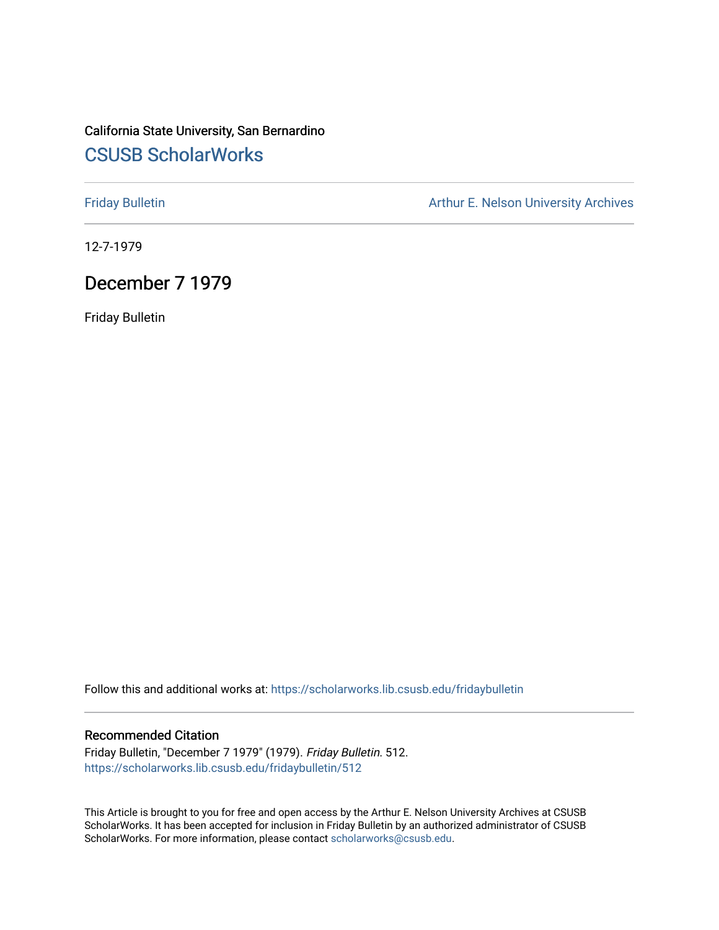## California State University, San Bernardino [CSUSB ScholarWorks](https://scholarworks.lib.csusb.edu/)

[Friday Bulletin](https://scholarworks.lib.csusb.edu/fridaybulletin) **Arthur E. Nelson University Archives** Arthur E. Nelson University Archives

12-7-1979

## December 7 1979

Friday Bulletin

Follow this and additional works at: [https://scholarworks.lib.csusb.edu/fridaybulletin](https://scholarworks.lib.csusb.edu/fridaybulletin?utm_source=scholarworks.lib.csusb.edu%2Ffridaybulletin%2F512&utm_medium=PDF&utm_campaign=PDFCoverPages)

## Recommended Citation

Friday Bulletin, "December 7 1979" (1979). Friday Bulletin. 512. [https://scholarworks.lib.csusb.edu/fridaybulletin/512](https://scholarworks.lib.csusb.edu/fridaybulletin/512?utm_source=scholarworks.lib.csusb.edu%2Ffridaybulletin%2F512&utm_medium=PDF&utm_campaign=PDFCoverPages)

This Article is brought to you for free and open access by the Arthur E. Nelson University Archives at CSUSB ScholarWorks. It has been accepted for inclusion in Friday Bulletin by an authorized administrator of CSUSB ScholarWorks. For more information, please contact [scholarworks@csusb.edu.](mailto:scholarworks@csusb.edu)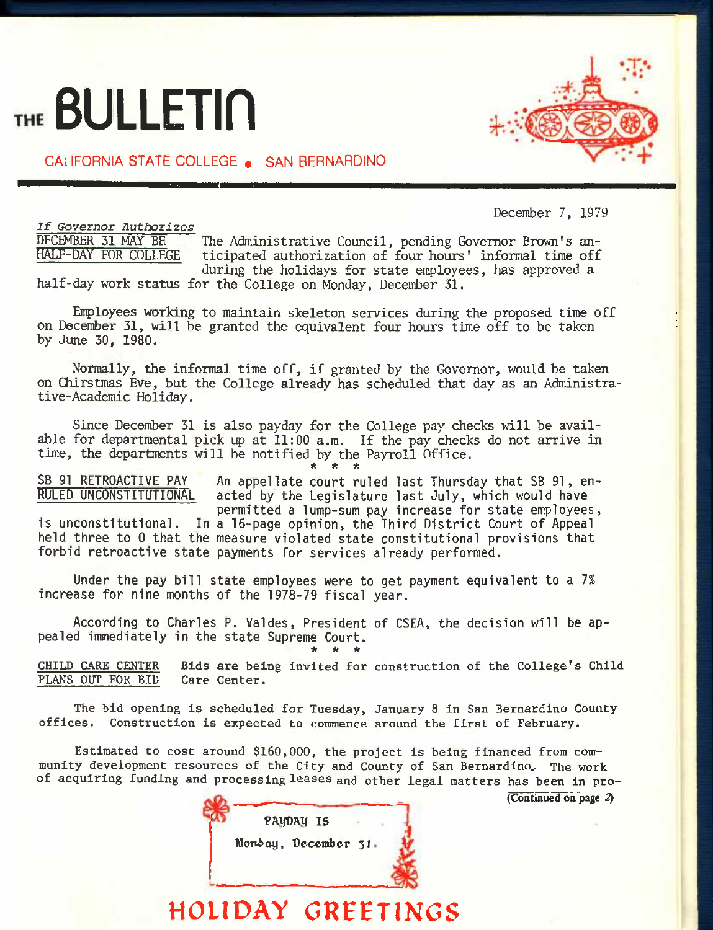# THE **BULLETIN**

CALIFORNIA STATE COLLEGE . SAN BERNARDINO

December 7, 1979

*If Governor Authorizes*  DECEMBER 31 MAY BE The Administrative Council, pending Governor Brown's an-<br>HALF-DAY FOR COLLEGE ticipated authorization of four bours' informal time off ticipated authorization of four hours' informal time off during the holidays for state enployees, has approved a half-day work status for the College on Monday, December 31,

Enployees working to maintain skeleton services during the proposed time off on December 31, will be granted the equivalent four hours time off to be taken by June 30, 1980.

Normally, the informal time off, if granted by the Governor, would be taken on Chirstmas Eve, but the College already has scheduled that day as an Administrative-Academic Holiday.

Since December 31 is also payday for the College pay checks will be available for departmental pick *up* at 11:00 a.m. If the pay checks do not arrive in time, the departments will be notified by the Payroll Office. *\* \* it* 

SB 91 RETROACTIVE PAY An appellate court ruled last Thursday that SB 91, en-<br>RULED UNCONSTITUTIONAL acted by the Legislature last July, which would have acted by the Legislature last July, which would have **permitted a lump-sum pay increase for state employees,** 

**is unconstitutional. In a 16-page opinion, the Third District Court of Appeal held three to 0 that the measure violated state constitutional provisions that forbid retroactive state payments for services already performed.** 

**Under the pay bill state employees were to get payment equivalent to a** *1%*  **increase for nine months of the 1978-79 fiscal year.** 

**According to Charles P. Valdes, President of CSEA, the decision will be appealed immediately in the state Supreme Court. \* \* \*** 

**CHILD CARE CENTER Bids are being invited for construction of the College's Child PLANS OUT FOR BID Care Center.** 

**The bid opening is scheduled for Tuesday, January 8 in San Bernardino County offices. Construction is expected to commence around the first of February.** 

**Estimated to cost around \$160,000, the project is being financed from community development resources of the City and County of San Bernardino.. The work of acquiring funding and processing leases and other legal matters has been in pro-**

**(Continued on page 2^** 

|  | Monday, December 31. |  |
|--|----------------------|--|
|  |                      |  |

**HOLIDAY GREETINCS** 

PA**UDAY IS** 

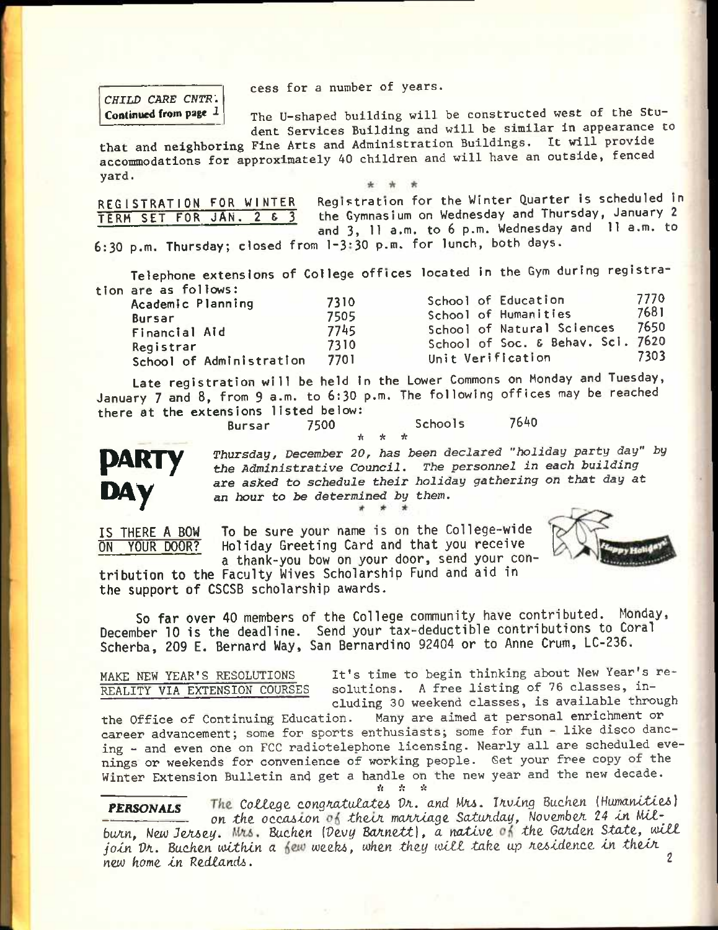**cess for a number of years.** 

*CHILD CARE CNTR\*  **Continued from page** *1* 

**The U-shaped building will be constructed west of the Student Services Building and will be similar in appearance to** 

**that and neighboring Fine Arts and Administration Buildings. It will provide accommodations for approximately 40 children and will have an outside, fenced yard.** 

REGISTRATION FOR WINTER TERM SET FOR JAN. 2 & 3 Registration for the Winter Quarter is scheduled in the Gymnasium on Wednesday and Thursday, January 2 and 3, 11 a.m. to 6 p.m. Wednesday and 11 a.m. to

6:30 p.m. Thursday; closed from 1-3\*30 p.m. for lunch, both days.

Telephone extensions of College offices located in the Gym during registration are as follows:

| Academic Planning        | 7310 | School of Education               | 7770 |
|--------------------------|------|-----------------------------------|------|
| <b>Bursar</b>            | 7505 | School of Humanities              | 7681 |
| Financial Aid            | 7745 | School of Natural Sciences        | 7650 |
| Registrar                | 7310 | School of Soc. & Behav. Sci. 7620 |      |
| School of Administration | 7701 | Unit Verification                 | 7303 |

Late registration will be held in the Lower Commons on Monday and Tuesday, January 7 and 8, from 9 a.m. to 6:30 p.m. The following offices may be reached there at the extensions listed below:<br>Bursar 7500 Bursar 7500 Schools 7640

 $\mathbf{v}$ 



*Thursday/ Decem}>er 20, has been declared "holiday party day" by the Administrative Council, The personnel in each building are asked to schedule their holiday gathering on that day* **at an** *hour to be determined by them.* 

**IS THERE A BOW ON YOUR DOOR?** 

**To be sure your name is on the College-wide Holiday Greeting Card and that you receive a thank-you bow on your door, send your con-**



**tribution to the Faculty Wives Scholarship Fund and aid in the support of CSCSB scholarship awards.** 

**So far over 40 members of the College community have contributed. Monday, December 10 is the deadline. Send your tax-deductible contributions to Coral Scherba, 209 E. Bernard Way, San Bernardino 92404 or to Anne Crum, LC-236.** 

**MAKE NEW YEAR'S RESOLUTIONS REALITY VIA EXTENSION COURSES**  **It's time to begin thinking about New Year's resolutions. A free listing of 76 classes, in-**

**cluding 30 weekend classes, is available through**  the Office of Continuing Education. **career advancement; some for sports enthusiasts; some for fun - like disco dancing - and even one on FCC radiotelephone licensing. Nearly all are scheduled evenings or weekends for convenience of working people. Set your free copy of the Winter Extension Bulletin and get a handle on the new year and the new decade.**  *it it it* 

**PERSONALS** The College congratulates  $Dx$ . and Mrs. Irving Buchen (Humanities) *—— on the.* **occoA-con** *thoAJi moAAXage. SatuAday,* **Wouembet** *24* **Xn** *UXt*burn, New Jersey. Mrs. Buchen (Devy Barnett), a native of the Garden State, will *join Dr. Buchen within a few weeks, when they will take up residence in their* new home in Redlands.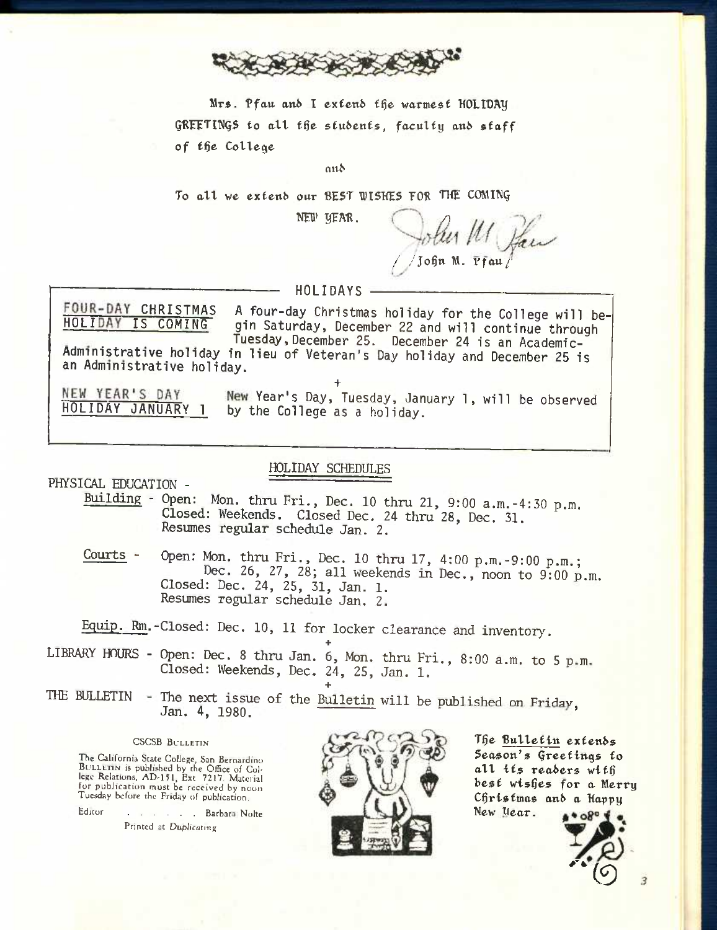

**Mrsi. "Pfatt ani> I exfeti6 f^e warmest 'HOLI'DAy**  GREETINGS to all the students, faculty and staff **of f6e College** 

**an^** 

To all we extend our BEST WISHES FOR THE COMING

NEW YEAR. John M Pau **f /Jo§n M. rfau/'** 

**— — HOLIDAYS** 

**FOUR-DAY CHRISTMAS** A four-day Christmas holiday for the College will be-<br>HOLIDAY IS COMING gin Saturday, December 22 and will continue through gin Saturday, December 22 and will continue through Tuesday, December 25. December 24 is an Academic-**Administrative holiday in lieu of Veteran's Day holiday and December 25 is an Administrative holiday.** 

NEW YEAR'S DAY

**+ Year's Day, Tuesday. January 1, will be observed HOLIDAY JANUARY 1 by the College as a holiday.** 

HOLIDAY SCHEDULES

PHYSICAL EDUCATION -

Building - Open: Men. thru Fri., Dec. 10 thru 21, 9:00 a.m.-4:30 p.m. Closed: Weekends. Closed Dec. 24 thru 28, Dec. 31. Resumes regular schedule Jan. 2.

Courts - Open: Mon. thru Fri., Dec. 10 thru 17, 4:00 p.m.-9:00 p.m.; Dec. 26, 27, 28; all weekends in Dec., noon to 9:00 p.m. Closed: Dec. 24, 25, 31, Jan. 1. Resumes regular schedule Jan. 2.

Equip. Rm.-Closed: Dec. 10, 11 for locker clearance and inventory.

**+**  LIBRARY HOURS - Open: Dec. 8 thru Jan. 6, Mon. thru Fri., 8:00 a.m. to 5 p.m. Closed: Weekends, Dec. 24, 25, Jan. 1.

**+** 

THE BULLETIN - The next issue of the <u>Bulletin</u> will be published on Friday, Jan. 4, 1980.

### CSCSB BULLETIN

The California State College, San Bernardino BULLETIN is published by the Office of Col-lege Relations, AD-151, Ext. 7217. Material for publication must be received by noon Tuesday before the Friday of publication.

Editor . . . . Barbara Nolte Printed at Duplicating



**T§e Ballelitt exlen6\$ Season's Qreefings** *to*  **all its rea6ers wif6 besf wishes for a Merry Christmas anb a Kapyy**  New *Uear*.  $* 9804$ 

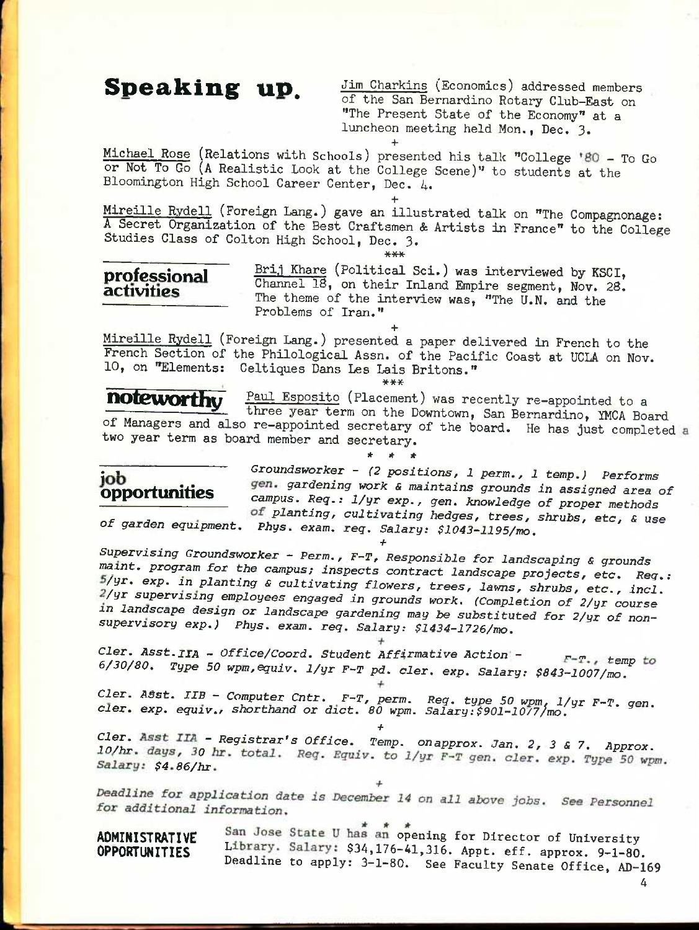$Speaking$  up.  $\frac{Jim \text{ Charkins}}{S}$  (Economics) addressed members of the San Bernardino Rotary Club-East on "The Present State of the Economy" at a luncheon meeting held Mon., Dec. 3. **+** 

Michael Rose (Relations with Schools) presented his talk "College '80 - To Go or Not To Go (A Realistic Look at the College Scene)" to students at the Bloomington High School Career Center, Dec. 4.

**+**  Mireille Rydell (Foreign Lang.) gave an illustrated talk on "The Compagnonage: A Secret Organization of the Best Craftsmen & Artists in France" to the College Studies Class of Colton High School, Dec. 3.  $***$ 

**professional** Brithmal 3 (Political Sci.) was interviewed by KSCI, **Professional** Channel 18, on their Inland Empire segment, Nov. 28.<br>**activities** The three of the interior content. The theme of the interview was, "The U.N. and the Problems of Iran."

**+**  Mireille Rydell (Foreign Lang.) presented a paper delivered in French to the French Section of the Philological Assn. of the Pacific Coast at UCLA on Nov. 10, on "Elements: Celtiques Dans Les Lais Britons."

**\*\*\*** 

**noteworthy** Paul Esposito (Placement) was recently re-appointed to a three year term on the Downtown, San Bernardino, YMCA Board of Managers and also re-appointed secretary of the board. He has just completed two year term as board member and secretary.

**\* \* \*** 

 $\overline{job}$  *Groundsworker - (2 positions, 1 perm., 1 temp.) Performs* ODDOrtunities *gardening work & maintains grounds in assigned area of*  campus. Req.:  $1/yr$  exp., gen. knowledge of proper methods *planting, cultivating hedges, trees, shrubs, etc, & use*  of garden equipment. Phys. exam. req. Salary: \$1043-1195/mo.

*Supervising Groundsworker - Perm., F-^T, Responsible for landscaping & grounds maxnt. program for the campus; inspects contract landscape projects, etc. Reg.: /gr. exp. in planting s cultivating flowers, trees, lawns, shrubs, etc., incl. /yr supervising employees engaged in grounds work. (Completion of 2/yr course in landscape design or landscape gardening may be substituted for 2/yr of nonsupervisory exp.) Phys. exam. req. Salary: \$1434-1726/mo.* 

*+* 

*Cler. Asst. IIA - Office/Coord. Student Affirmative Action -*  $F-T$ *., temp to* 6/30/80. Type 50 wpm, equiv. 1/yr F-T pd. cler. exp. Salary: \$843-1007/mo.

*Cler. ABst. IIB - Computer Cntr. F-T, perm. Reg. type 50 wpm, 1/yr F-T. gen. Cler. exp. equiv., shorthand or diet. 80 wpm. Salary:\$901-1077/mo.* 

*%%'r - Registrar's Office. Temp, onapprox. Jan. 2, 3 & 7. Approx.*  10/hr. days, 30 hr. total. Req. Equiv. to 1/yr F-T gen. cler. exp. Type 50 wpm. Salary: \$4.86/hr.

*+* 

Deadline for application date is December 14 on all above jobs. See Personnel for additional information.

ADMINISTRATIVE San Jose State U has an opening for Director of University OPPORTUNITIES Library. Salary: \$34,176-41,316. Appt. eff. approx. 9-1-80. Deadline to apply: 3-1-80. See Faculty Senate Office, AD-169